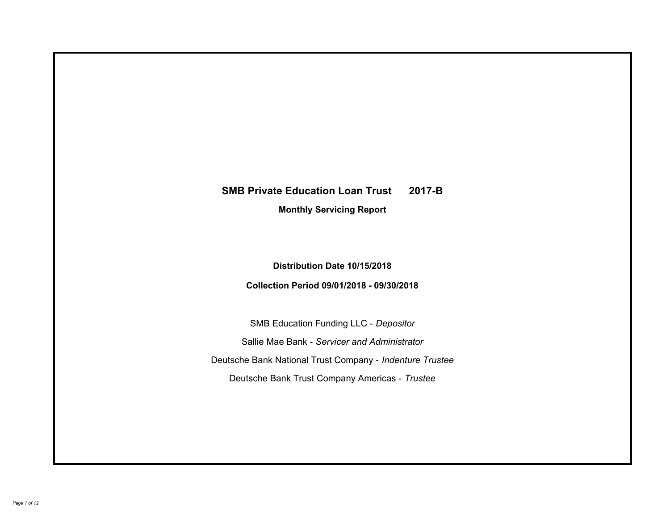# **SMB Private Education Loan Trust 2017-B Monthly Servicing Report**

## **Distribution Date 10/15/2018**

## **Collection Period 09/01/2018 - 09/30/2018**

SMB Education Funding LLC - *Depositor* Sallie Mae Bank - *Servicer and Administrator* Deutsche Bank National Trust Company - *Indenture Trustee* Deutsche Bank Trust Company Americas - *Trustee*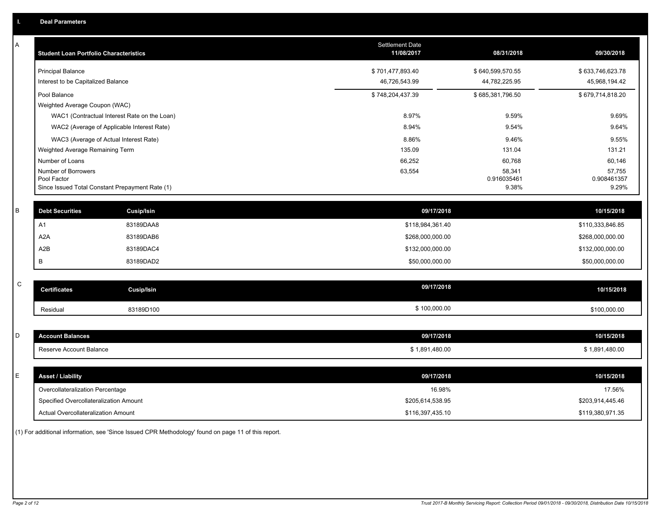| Α           | <b>Student Loan Portfolio Characteristics</b>   | Settlement Date<br>11/08/2017 | 08/31/2018            | 09/30/2018            |
|-------------|-------------------------------------------------|-------------------------------|-----------------------|-----------------------|
|             | <b>Principal Balance</b>                        | \$701,477,893.40              | \$640,599,570.55      | \$633,746,623.78      |
|             | Interest to be Capitalized Balance              | 46,726,543.99                 | 44,782,225.95         | 45,968,194.42         |
|             | Pool Balance                                    | \$748,204,437.39              | \$685,381,796.50      | \$679,714,818.20      |
|             | Weighted Average Coupon (WAC)                   |                               |                       |                       |
|             | WAC1 (Contractual Interest Rate on the Loan)    | 8.97%                         | 9.59%                 | 9.69%                 |
|             | WAC2 (Average of Applicable Interest Rate)      | 8.94%                         | 9.54%                 | 9.64%                 |
|             | WAC3 (Average of Actual Interest Rate)          | 8.86%                         | 9.46%                 | 9.55%                 |
|             | Weighted Average Remaining Term                 | 135.09                        | 131.04                | 131.21                |
|             | Number of Loans                                 | 66,252                        | 60,768                | 60,146                |
|             | Number of Borrowers<br>Pool Factor              | 63,554                        | 58,341<br>0.916035461 | 57,755<br>0.908461357 |
|             | Since Issued Total Constant Prepayment Rate (1) |                               | 9.38%                 | 9.29%                 |
|             |                                                 |                               |                       |                       |
| B           | <b>Debt Securities</b><br>Cusip/Isin            | 09/17/2018                    |                       | 10/15/2018            |
|             | A1<br>83189DAA8                                 | \$118,984,361.40              |                       | \$110,333,846.85      |
|             | A <sub>2</sub> A<br>83189DAB6                   | \$268,000,000.00              |                       | \$268,000,000.00      |
|             | A2B<br>83189DAC4                                | \$132,000,000.00              |                       | \$132,000,000.00      |
|             | B<br>83189DAD2                                  | \$50,000,000.00               |                       | \$50,000,000.00       |
|             |                                                 |                               |                       |                       |
| $\mathsf C$ | <b>Certificates</b><br><b>Cusip/Isin</b>        | 09/17/2018                    |                       | 10/15/2018            |
|             | 83189D100<br>Residual                           | \$100,000.00                  |                       | \$100,000.00          |
|             |                                                 |                               |                       |                       |
| D           | <b>Account Balances</b>                         | 09/17/2018                    |                       | 10/15/2018            |
|             | Reserve Account Balance                         | \$1,891,480.00                |                       | \$1,891,480.00        |
|             |                                                 |                               |                       |                       |
| Е           | <b>Asset / Liability</b>                        | 09/17/2018                    |                       | 10/15/2018            |
|             | Overcollateralization Percentage                | 16.98%                        |                       | 17.56%                |
|             | Specified Overcollateralization Amount          | \$205,614,538.95              |                       | \$203,914,445.46      |
|             | Actual Overcollateralization Amount             | \$116,397,435.10              |                       | \$119,380,971.35      |

(1) For additional information, see 'Since Issued CPR Methodology' found on page 11 of this report.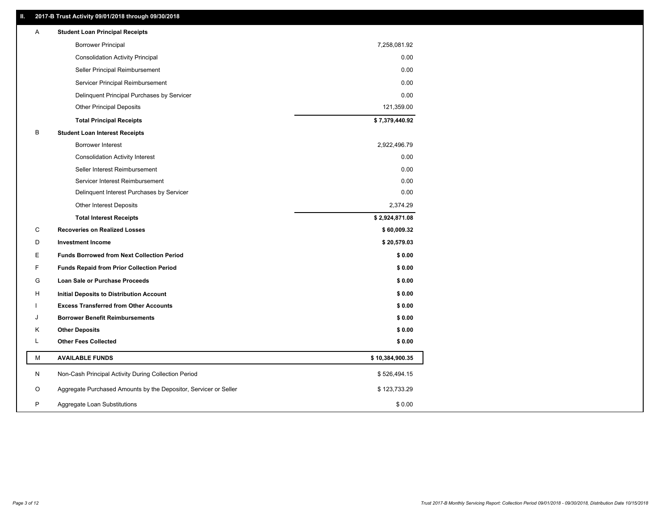### **II. 2017-B Trust Activity 09/01/2018 through 09/30/2018**

| Α | <b>Student Loan Principal Receipts</b>                           |                 |  |
|---|------------------------------------------------------------------|-----------------|--|
|   | <b>Borrower Principal</b>                                        | 7,258,081.92    |  |
|   | <b>Consolidation Activity Principal</b>                          | 0.00            |  |
|   | Seller Principal Reimbursement                                   | 0.00            |  |
|   | Servicer Principal Reimbursement                                 | 0.00            |  |
|   | Delinquent Principal Purchases by Servicer                       | 0.00            |  |
|   | <b>Other Principal Deposits</b>                                  | 121,359.00      |  |
|   | <b>Total Principal Receipts</b>                                  | \$7,379,440.92  |  |
| В | <b>Student Loan Interest Receipts</b>                            |                 |  |
|   | Borrower Interest                                                | 2,922,496.79    |  |
|   | <b>Consolidation Activity Interest</b>                           | 0.00            |  |
|   | Seller Interest Reimbursement                                    | 0.00            |  |
|   | Servicer Interest Reimbursement                                  | 0.00            |  |
|   | Delinquent Interest Purchases by Servicer                        | 0.00            |  |
|   | Other Interest Deposits                                          | 2,374.29        |  |
|   | <b>Total Interest Receipts</b>                                   | \$2,924,871.08  |  |
| C | <b>Recoveries on Realized Losses</b>                             | \$60,009.32     |  |
| D | <b>Investment Income</b>                                         | \$20,579.03     |  |
| Е | <b>Funds Borrowed from Next Collection Period</b>                | \$0.00          |  |
| F | <b>Funds Repaid from Prior Collection Period</b>                 | \$0.00          |  |
| G | Loan Sale or Purchase Proceeds                                   | \$0.00          |  |
| н | Initial Deposits to Distribution Account                         | \$0.00          |  |
|   | <b>Excess Transferred from Other Accounts</b>                    | \$0.00          |  |
| J | <b>Borrower Benefit Reimbursements</b>                           | \$0.00          |  |
| Κ | <b>Other Deposits</b>                                            | \$0.00          |  |
| L | <b>Other Fees Collected</b>                                      | \$0.00          |  |
| M | <b>AVAILABLE FUNDS</b>                                           | \$10,384,900.35 |  |
| N | Non-Cash Principal Activity During Collection Period             | \$526,494.15    |  |
| O | Aggregate Purchased Amounts by the Depositor, Servicer or Seller | \$123,733.29    |  |
| P | Aggregate Loan Substitutions                                     | \$0.00          |  |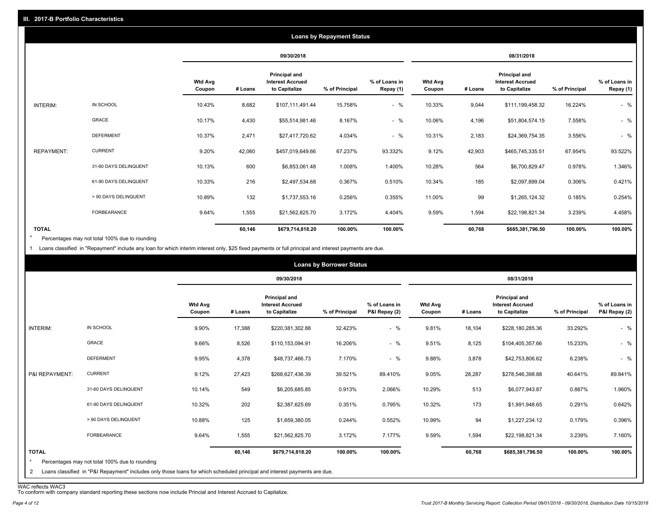|                   |                       |                          |         |                                                           | <b>Loans by Repayment Status</b> |                            |                          |         |                                                           |                |                            |
|-------------------|-----------------------|--------------------------|---------|-----------------------------------------------------------|----------------------------------|----------------------------|--------------------------|---------|-----------------------------------------------------------|----------------|----------------------------|
|                   |                       |                          |         | 09/30/2018                                                |                                  |                            |                          |         | 08/31/2018                                                |                |                            |
|                   |                       | <b>Wtd Avg</b><br>Coupon | # Loans | Principal and<br><b>Interest Accrued</b><br>to Capitalize | % of Principal                   | % of Loans in<br>Repay (1) | <b>Wtd Avg</b><br>Coupon | # Loans | Principal and<br><b>Interest Accrued</b><br>to Capitalize | % of Principal | % of Loans in<br>Repay (1) |
| INTERIM:          | IN SCHOOL             | 10.43%                   | 8,682   | \$107,111,491.44                                          | 15.758%                          | $-$ %                      | 10.33%                   | 9,044   | \$111,199,458.32                                          | 16.224%        | $-$ %                      |
|                   | GRACE                 | 10.17%                   | 4,430   | \$55,514,981.46                                           | 8.167%                           | $-$ %                      | 10.06%                   | 4,196   | \$51,804,574.15                                           | 7.558%         | $-$ %                      |
|                   | <b>DEFERMENT</b>      | 10.37%                   | 2,471   | \$27,417,720.62                                           | 4.034%                           | $-$ %                      | 10.31%                   | 2,183   | \$24,369,754.35                                           | 3.556%         | $-$ %                      |
| <b>REPAYMENT:</b> | <b>CURRENT</b>        | 9.20%                    | 42,060  | \$457,019,649.66                                          | 67.237%                          | 93.332%                    | 9.12%                    | 42,903  | \$465,745,335.51                                          | 67.954%        | 93.522%                    |
|                   | 31-60 DAYS DELINQUENT | 10.13%                   | 600     | \$6,853,061.48                                            | 1.008%                           | 1.400%                     | 10.28%                   | 564     | \$6,700,829.47                                            | 0.978%         | 1.346%                     |
|                   | 61-90 DAYS DELINQUENT | 10.33%                   | 216     | \$2,497,534.68                                            | 0.367%                           | 0.510%                     | 10.34%                   | 185     | \$2,097,899.04                                            | 0.306%         | 0.421%                     |
|                   | > 90 DAYS DELINQUENT  | 10.89%                   | 132     | \$1,737,553.16                                            | 0.256%                           | 0.355%                     | 11.00%                   | 99      | \$1,265,124.32                                            | 0.185%         | 0.254%                     |
|                   | FORBEARANCE           | 9.64%                    | 1,555   | \$21,562,825.70                                           | 3.172%                           | 4.404%                     | 9.59%                    | 1,594   | \$22,198,821.34                                           | 3.239%         | 4.458%                     |
| <b>TOTAL</b>      |                       |                          | 60,146  | \$679,714,818.20                                          | 100.00%                          | 100.00%                    |                          | 60,768  | \$685,381,796.50                                          | 100.00%        | 100.00%                    |

Percentages may not total 100% due to rounding \*

1 Loans classified in "Repayment" include any loan for which interim interest only, \$25 fixed payments or full principal and interest payments are due.

|                         |                                                                                                                            |                          |         |                                                           | <b>Loans by Borrower Status</b> |                                |                          |         |                                                           |                |                                |
|-------------------------|----------------------------------------------------------------------------------------------------------------------------|--------------------------|---------|-----------------------------------------------------------|---------------------------------|--------------------------------|--------------------------|---------|-----------------------------------------------------------|----------------|--------------------------------|
|                         |                                                                                                                            |                          |         | 09/30/2018                                                |                                 |                                |                          |         | 08/31/2018                                                |                |                                |
|                         |                                                                                                                            | <b>Wtd Avg</b><br>Coupon | # Loans | Principal and<br><b>Interest Accrued</b><br>to Capitalize | % of Principal                  | % of Loans in<br>P&I Repay (2) | <b>Wtd Avg</b><br>Coupon | # Loans | Principal and<br><b>Interest Accrued</b><br>to Capitalize | % of Principal | % of Loans in<br>P&I Repay (2) |
| INTERIM:                | IN SCHOOL                                                                                                                  | 9.90%                    | 17,388  | \$220,381,302.88                                          | 32.423%                         | $-$ %                          | 9.81%                    | 18,104  | \$228,180,285.36                                          | 33.292%        | $-$ %                          |
|                         | GRACE                                                                                                                      | 9.66%                    | 8,526   | \$110,153,094.91                                          | 16.206%                         | $-$ %                          | 9.51%                    | 8,125   | \$104,405,357.66                                          | 15.233%        | $-$ %                          |
|                         | <b>DEFERMENT</b>                                                                                                           | 9.95%                    | 4,378   | \$48,737,466.73                                           | 7.170%                          | $-$ %                          | 9.88%                    | 3,878   | \$42,753,806.62                                           | 6.238%         | $-$ %                          |
| P&I REPAYMENT:          | <b>CURRENT</b>                                                                                                             | 9.12%                    | 27,423  | \$268,627,436.39                                          | 39.521%                         | 89.410%                        | 9.05%                    | 28,287  | \$278,546,398.88                                          | 40.641%        | 89.841%                        |
|                         | 31-60 DAYS DELINQUENT                                                                                                      | 10.14%                   | 549     | \$6,205,685.85                                            | 0.913%                          | 2.066%                         | 10.29%                   | 513     | \$6,077,943.87                                            | 0.887%         | 1.960%                         |
|                         | 61-90 DAYS DELINQUENT                                                                                                      | 10.32%                   | 202     | \$2,387,625.69                                            | 0.351%                          | 0.795%                         | 10.32%                   | 173     | \$1,991,948.65                                            | 0.291%         | 0.642%                         |
|                         | > 90 DAYS DELINQUENT                                                                                                       | 10.88%                   | 125     | \$1,659,380.05                                            | 0.244%                          | 0.552%                         | 10.99%                   | 94      | \$1,227,234.12                                            | 0.179%         | 0.396%                         |
|                         | <b>FORBEARANCE</b>                                                                                                         | 9.64%                    | 1,555   | \$21,562,825.70                                           | 3.172%                          | 7.177%                         | 9.59%                    | 1,594   | \$22,198,821.34                                           | 3.239%         | 7.160%                         |
| <b>TOTAL</b><br>$\star$ | Percentages may not total 100% due to rounding                                                                             |                          | 60,146  | \$679,714,818.20                                          | 100.00%                         | 100.00%                        |                          | 60,768  | \$685,381,796.50                                          | 100.00%        | 100.00%                        |
| 2                       | Loans classified in "P&I Repayment" includes only those loans for which scheduled principal and interest payments are due. |                          |         |                                                           |                                 |                                |                          |         |                                                           |                |                                |

WAC reflects WAC3 To conform with company standard reporting these sections now include Princial and Interest Accrued to Capitalize.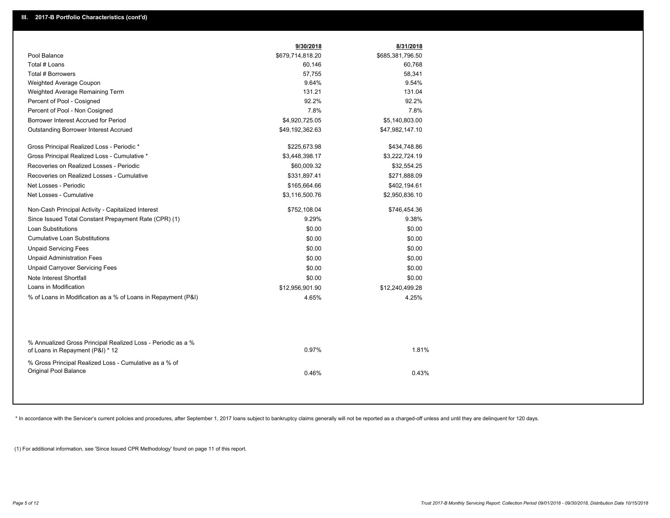|                                                                                                  | 9/30/2018        | 8/31/2018        |  |
|--------------------------------------------------------------------------------------------------|------------------|------------------|--|
| Pool Balance                                                                                     | \$679,714,818.20 | \$685,381,796.50 |  |
| Total # Loans                                                                                    | 60,146           | 60,768           |  |
| Total # Borrowers                                                                                | 57,755           | 58,341           |  |
| Weighted Average Coupon                                                                          | 9.64%            | 9.54%            |  |
| Weighted Average Remaining Term                                                                  | 131.21           | 131.04           |  |
| Percent of Pool - Cosigned                                                                       | 92.2%            | 92.2%            |  |
| Percent of Pool - Non Cosigned                                                                   | 7.8%             | 7.8%             |  |
| Borrower Interest Accrued for Period                                                             | \$4,920,725.05   | \$5,140,803.00   |  |
| <b>Outstanding Borrower Interest Accrued</b>                                                     | \$49,192,362.63  | \$47,982,147.10  |  |
| Gross Principal Realized Loss - Periodic *                                                       | \$225,673.98     | \$434,748.86     |  |
| Gross Principal Realized Loss - Cumulative *                                                     | \$3,448,398.17   | \$3,222,724.19   |  |
| Recoveries on Realized Losses - Periodic                                                         | \$60,009.32      | \$32,554.25      |  |
| Recoveries on Realized Losses - Cumulative                                                       | \$331,897.41     | \$271,888.09     |  |
| Net Losses - Periodic                                                                            | \$165,664.66     | \$402,194.61     |  |
| Net Losses - Cumulative                                                                          | \$3,116,500.76   | \$2,950,836.10   |  |
| Non-Cash Principal Activity - Capitalized Interest                                               | \$752,108.04     | \$746,454.36     |  |
| Since Issued Total Constant Prepayment Rate (CPR) (1)                                            | 9.29%            | 9.38%            |  |
| <b>Loan Substitutions</b>                                                                        | \$0.00           | \$0.00           |  |
| <b>Cumulative Loan Substitutions</b>                                                             | \$0.00           | \$0.00           |  |
| <b>Unpaid Servicing Fees</b>                                                                     | \$0.00           | \$0.00           |  |
| <b>Unpaid Administration Fees</b>                                                                | \$0.00           | \$0.00           |  |
| <b>Unpaid Carryover Servicing Fees</b>                                                           | \$0.00           | \$0.00           |  |
| Note Interest Shortfall                                                                          | \$0.00           | \$0.00           |  |
| Loans in Modification                                                                            | \$12.956.901.90  | \$12,240,499.28  |  |
| % of Loans in Modification as a % of Loans in Repayment (P&I)                                    | 4.65%            | 4.25%            |  |
|                                                                                                  |                  |                  |  |
| % Annualized Gross Principal Realized Loss - Periodic as a %<br>of Loans in Repayment (P&I) * 12 | 0.97%            | 1.81%            |  |
| % Gross Principal Realized Loss - Cumulative as a % of<br>Original Pool Balance                  | 0.46%            | 0.43%            |  |

\* In accordance with the Servicer's current policies and procedures, after September 1, 2017 loans subject to bankruptcy claims generally will not be reported as a charged-off unless and until they are delinquent for 120 d

(1) For additional information, see 'Since Issued CPR Methodology' found on page 11 of this report.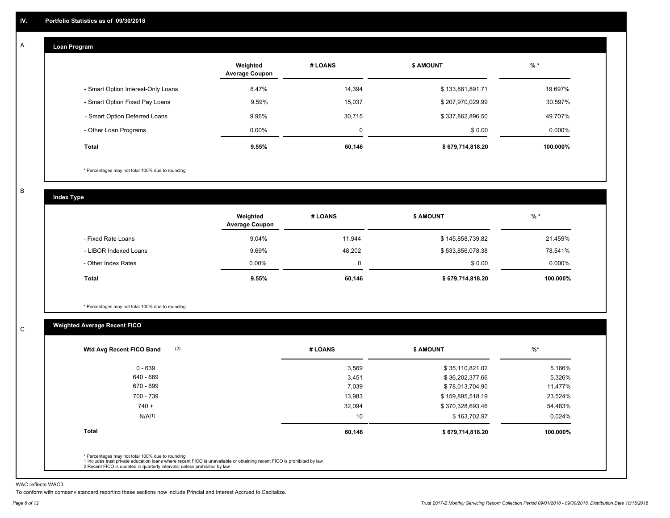#### **Loan Program**  A

|                                    | Weighted<br><b>Average Coupon</b> | # LOANS | <b>\$ AMOUNT</b> | $%$ *     |
|------------------------------------|-----------------------------------|---------|------------------|-----------|
| - Smart Option Interest-Only Loans | 8.47%                             | 14,394  | \$133,881,891.71 | 19.697%   |
| - Smart Option Fixed Pay Loans     | 9.59%                             | 15,037  | \$207,970,029.99 | 30.597%   |
| - Smart Option Deferred Loans      | 9.96%                             | 30,715  | \$337,862,896.50 | 49.707%   |
| - Other Loan Programs              | $0.00\%$                          | 0       | \$0.00           | $0.000\%$ |
| Total                              | $9.55\%$                          | 60,146  | \$679,714,818.20 | 100.000%  |

\* Percentages may not total 100% due to rounding

B

C

**Index Type**

|                       | Weighted<br><b>Average Coupon</b> | # LOANS | <b>\$ AMOUNT</b> | $%$ *     |
|-----------------------|-----------------------------------|---------|------------------|-----------|
| - Fixed Rate Loans    | 9.04%                             | 11,944  | \$145,858,739.82 | 21.459%   |
| - LIBOR Indexed Loans | 9.69%                             | 48.202  | \$533,856,078.38 | 78.541%   |
| - Other Index Rates   | $0.00\%$                          |         | \$0.00           | $0.000\%$ |
| Total                 | 9.55%                             | 60,146  | \$679,714,818.20 | 100.000%  |

\* Percentages may not total 100% due to rounding

### **Weighted Average Recent FICO**

| 3,569<br>3,451<br>7,039<br>13,983 | \$35,110,821.02<br>\$36,202,377.66<br>\$78,013,704.90<br>\$159,895,518.19 | 5.166%<br>5.326%<br>11.477%<br>23.524% |
|-----------------------------------|---------------------------------------------------------------------------|----------------------------------------|
|                                   |                                                                           |                                        |
|                                   |                                                                           |                                        |
|                                   |                                                                           |                                        |
|                                   |                                                                           |                                        |
| 32,094                            | \$370,328,693.46                                                          | 54.483%                                |
| 10                                | \$163,702.97                                                              | 0.024%                                 |
|                                   | \$679,714,818.20                                                          | 100.000%                               |
|                                   | 60,146                                                                    |                                        |

WAC reflects WAC3

To conform with company standard reporting these sections now include Princial and Interest Accrued to Capitalize.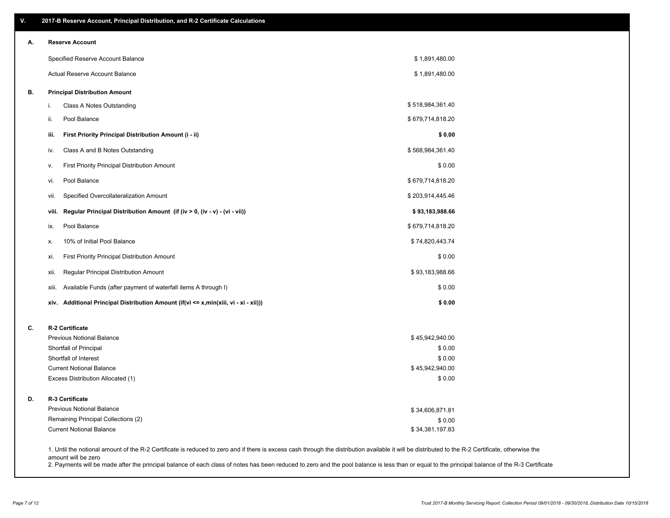| А. | <b>Reserve Account</b>                                                               |                           |  |
|----|--------------------------------------------------------------------------------------|---------------------------|--|
|    | Specified Reserve Account Balance                                                    | \$1,891,480.00            |  |
|    | Actual Reserve Account Balance                                                       | \$1,891,480.00            |  |
| В. | <b>Principal Distribution Amount</b>                                                 |                           |  |
|    | Class A Notes Outstanding<br>i.                                                      | \$518,984,361.40          |  |
|    | Pool Balance<br>ii.                                                                  | \$679,714,818.20          |  |
|    | First Priority Principal Distribution Amount (i - ii)<br>iii.                        | \$0.00                    |  |
|    | Class A and B Notes Outstanding<br>iv.                                               | \$568,984,361.40          |  |
|    | First Priority Principal Distribution Amount<br>v.                                   | \$0.00                    |  |
|    | Pool Balance<br>vi.                                                                  | \$679,714,818.20          |  |
|    | Specified Overcollateralization Amount<br>Vii.                                       | \$203,914,445.46          |  |
|    | Regular Principal Distribution Amount (if (iv > 0, (iv - v) - (vi - vii))<br>viii.   | \$93,183,988.66           |  |
|    | Pool Balance<br>ix.                                                                  | \$679,714,818.20          |  |
|    | 10% of Initial Pool Balance<br>х.                                                    | \$74,820,443.74           |  |
|    | First Priority Principal Distribution Amount<br>xi.                                  | \$0.00                    |  |
|    | Regular Principal Distribution Amount<br>xii.                                        | \$93,183,988.66           |  |
|    | Available Funds (after payment of waterfall items A through I)<br>xiii.              | \$0.00                    |  |
|    | xiv. Additional Principal Distribution Amount (if(vi <= x,min(xiii, vi - xi - xii))) | \$0.00                    |  |
| C. | R-2 Certificate                                                                      |                           |  |
|    | Previous Notional Balance                                                            | \$45,942,940.00           |  |
|    | Shortfall of Principal<br>Shortfall of Interest                                      | \$0.00                    |  |
|    | <b>Current Notional Balance</b>                                                      | \$0.00<br>\$45,942,940.00 |  |
|    | Excess Distribution Allocated (1)                                                    | \$0.00                    |  |
| D. | R-3 Certificate                                                                      |                           |  |
|    | <b>Previous Notional Balance</b>                                                     | \$34,606,871.81           |  |
|    | Remaining Principal Collections (2)                                                  | \$0.00                    |  |
|    | <b>Current Notional Balance</b>                                                      | \$34,381,197.83           |  |

amount will be zero

2. Payments will be made after the principal balance of each class of notes has been reduced to zero and the pool balance is less than or equal to the principal balance of the R-3 Certificate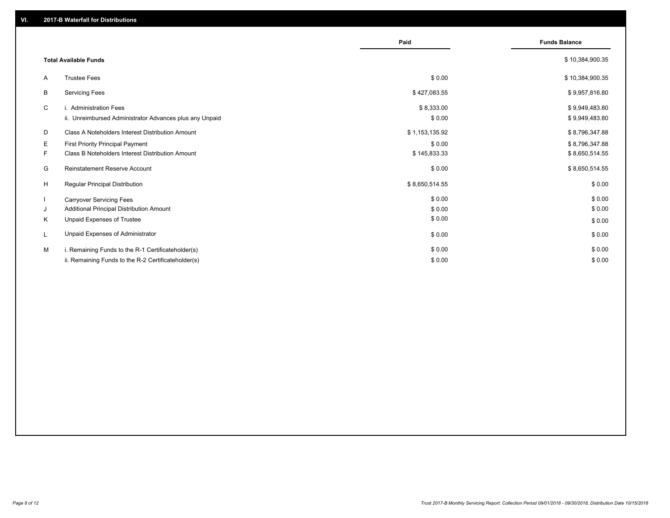|    |                                                         | Paid           | <b>Funds Balance</b> |
|----|---------------------------------------------------------|----------------|----------------------|
|    |                                                         |                |                      |
|    | <b>Total Available Funds</b>                            |                | \$10,384,900.35      |
| A  | <b>Trustee Fees</b>                                     | \$0.00         | \$10,384,900.35      |
| B  | <b>Servicing Fees</b>                                   | \$427,083.55   | \$9,957,816.80       |
| C  | i. Administration Fees                                  | \$8,333.00     | \$9,949,483.80       |
|    | ii. Unreimbursed Administrator Advances plus any Unpaid | \$0.00         | \$9,949,483.80       |
| D  | Class A Noteholders Interest Distribution Amount        | \$1,153,135.92 | \$8,796,347.88       |
| E  | <b>First Priority Principal Payment</b>                 | \$0.00         | \$8,796,347.88       |
| F. | Class B Noteholders Interest Distribution Amount        | \$145,833.33   | \$8,650,514.55       |
| G  | <b>Reinstatement Reserve Account</b>                    | \$0.00         | \$8,650,514.55       |
| H  | Regular Principal Distribution                          | \$8,650,514.55 | \$0.00               |
|    | <b>Carryover Servicing Fees</b>                         | \$0.00         | \$0.00               |
| J  | Additional Principal Distribution Amount                | \$0.00         | \$0.00               |
| K  | Unpaid Expenses of Trustee                              | \$0.00         | \$0.00               |
|    | Unpaid Expenses of Administrator                        | \$0.00         | \$0.00               |
| M  | i. Remaining Funds to the R-1 Certificateholder(s)      | \$0.00         | \$0.00               |
|    | ii. Remaining Funds to the R-2 Certificateholder(s)     | \$0.00         | \$0.00               |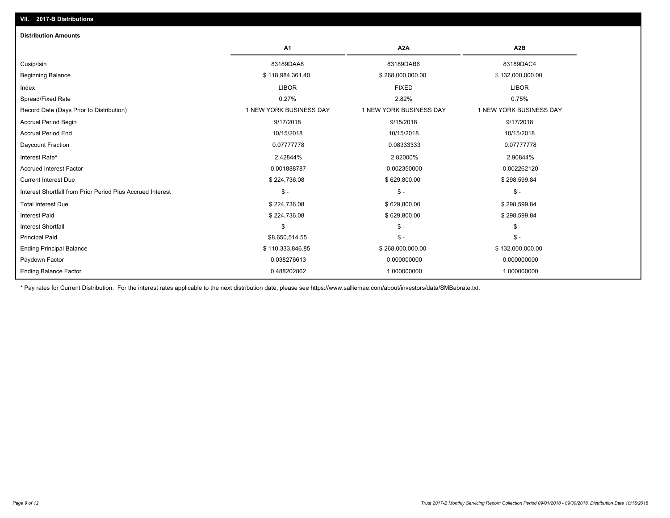| <b>Distribution Amounts</b>                                |                         |                         |                         |
|------------------------------------------------------------|-------------------------|-------------------------|-------------------------|
|                                                            | A1                      | A <sub>2</sub> A        | A <sub>2</sub> B        |
| Cusip/Isin                                                 | 83189DAA8               | 83189DAB6               | 83189DAC4               |
| <b>Beginning Balance</b>                                   | \$118,984,361.40        | \$268,000,000.00        | \$132,000,000.00        |
| Index                                                      | <b>LIBOR</b>            | <b>FIXED</b>            | <b>LIBOR</b>            |
| Spread/Fixed Rate                                          | 0.27%                   | 2.82%                   | 0.75%                   |
| Record Date (Days Prior to Distribution)                   | 1 NEW YORK BUSINESS DAY | 1 NEW YORK BUSINESS DAY | 1 NEW YORK BUSINESS DAY |
| <b>Accrual Period Begin</b>                                | 9/17/2018               | 9/15/2018               | 9/17/2018               |
| <b>Accrual Period End</b>                                  | 10/15/2018              | 10/15/2018              | 10/15/2018              |
| Daycount Fraction                                          | 0.07777778              | 0.08333333              | 0.07777778              |
| Interest Rate*                                             | 2.42844%                | 2.82000%                | 2.90844%                |
| <b>Accrued Interest Factor</b>                             | 0.001888787             | 0.002350000             | 0.002262120             |
| <b>Current Interest Due</b>                                | \$224,736.08            | \$629,800.00            | \$298,599.84            |
| Interest Shortfall from Prior Period Plus Accrued Interest | $\mathsf{\$}$ -         | $\mathcal{S}$ -         | $\mathcal{S}$ –         |
| <b>Total Interest Due</b>                                  | \$224,736.08            | \$629,800.00            | \$298,599.84            |
| <b>Interest Paid</b>                                       | \$224,736.08            | \$629,800.00            | \$298,599.84            |
| <b>Interest Shortfall</b>                                  | $\mathsf{\$}$ -         | $\mathsf{\$}$ -         | $$ -$                   |
| <b>Principal Paid</b>                                      | \$8,650,514.55          | $\mathsf{\$}$ -         | $\mathsf{\$}$ -         |
| <b>Ending Principal Balance</b>                            | \$110,333,846.85        | \$268,000,000.00        | \$132,000,000.00        |
| Paydown Factor                                             | 0.038276613             | 0.000000000             | 0.000000000             |
| <b>Ending Balance Factor</b>                               | 0.488202862             | 1.000000000             | 1.000000000             |

\* Pay rates for Current Distribution. For the interest rates applicable to the next distribution date, please see https://www.salliemae.com/about/investors/data/SMBabrate.txt.

**VII. 2017-B Distributions**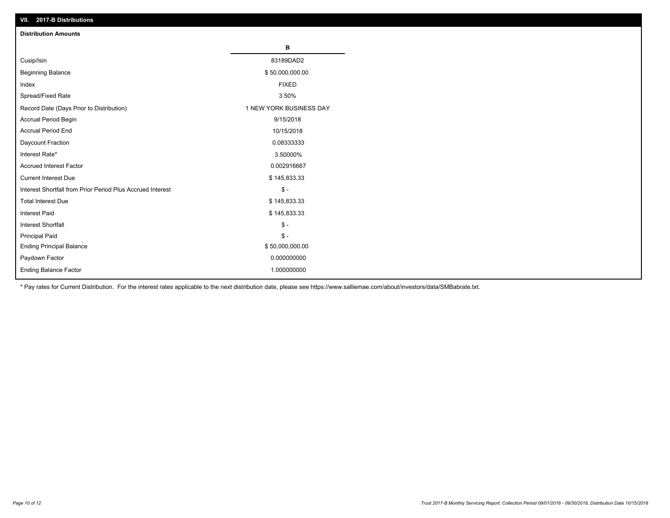| VII. 2017-B Distributions                                  |                         |
|------------------------------------------------------------|-------------------------|
| <b>Distribution Amounts</b>                                |                         |
|                                                            | в                       |
| Cusip/Isin                                                 | 83189DAD2               |
| <b>Beginning Balance</b>                                   | \$50,000,000.00         |
| Index                                                      | <b>FIXED</b>            |
| Spread/Fixed Rate                                          | 3.50%                   |
| Record Date (Days Prior to Distribution)                   | 1 NEW YORK BUSINESS DAY |
| Accrual Period Begin                                       | 9/15/2018               |
| <b>Accrual Period End</b>                                  | 10/15/2018              |
| Daycount Fraction                                          | 0.08333333              |
| Interest Rate*                                             | 3.50000%                |
| <b>Accrued Interest Factor</b>                             | 0.002916667             |
| <b>Current Interest Due</b>                                | \$145,833.33            |
| Interest Shortfall from Prior Period Plus Accrued Interest | $\frac{2}{3}$ -         |
| <b>Total Interest Due</b>                                  | \$145,833.33            |
| <b>Interest Paid</b>                                       | \$145,833.33            |
| <b>Interest Shortfall</b>                                  | $\mathbb{S}$ -          |
| <b>Principal Paid</b>                                      | $\mathbb S$ -           |
| <b>Ending Principal Balance</b>                            | \$50,000,000.00         |
| Paydown Factor                                             | 0.000000000             |
| Ending Balance Factor                                      | 1.000000000             |

\* Pay rates for Current Distribution. For the interest rates applicable to the next distribution date, please see https://www.salliemae.com/about/investors/data/SMBabrate.txt.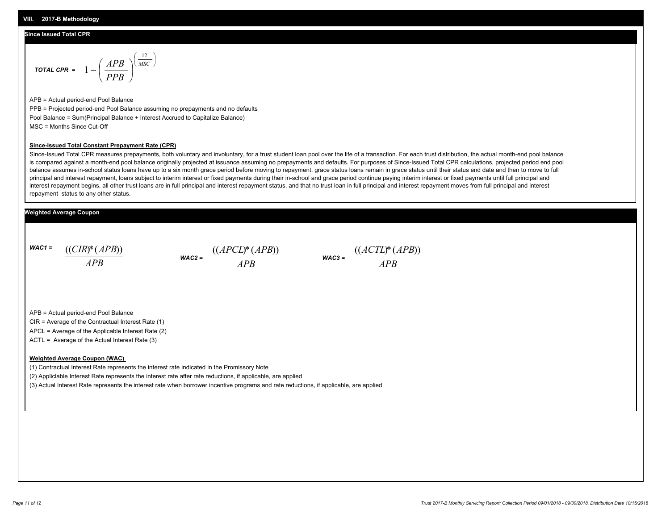#### **Since Issued Total CPR**

$$
\text{total CPR} = 1 - \left(\frac{APB}{PPB}\right)^{\left(\frac{12}{MSC}\right)}
$$

APB = Actual period-end Pool Balance PPB = Projected period-end Pool Balance assuming no prepayments and no defaults Pool Balance = Sum(Principal Balance + Interest Accrued to Capitalize Balance) MSC = Months Since Cut-Off

#### **Since-Issued Total Constant Prepayment Rate (CPR)**

Since-Issued Total CPR measures prepayments, both voluntary and involuntary, for a trust student loan pool over the life of a transaction. For each trust distribution, the actual month-end pool balance is compared against a month-end pool balance originally projected at issuance assuming no prepayments and defaults. For purposes of Since-Issued Total CPR calculations, projected period end pool balance assumes in-school status loans have up to a six month grace period before moving to repayment, grace status loans remain in grace status until their status end date and then to move to full principal and interest repayment, loans subject to interim interest or fixed payments during their in-school and grace period continue paying interim interest or fixed payments until full principal and interest repayment begins, all other trust loans are in full principal and interest repayment status, and that no trust loan in full principal and interest repayment moves from full principal and interest repayment status to any other status.

#### **Weighted Average Coupon**

*WAC1 = APB* ((*CIR*)\*(*APB*))

*WAC2 = APB*



APB = Actual period-end Pool Balance

CIR = Average of the Contractual Interest Rate (1)

APCL = Average of the Applicable Interest Rate (2)

ACTL = Average of the Actual Interest Rate (3)

#### **Weighted Average Coupon (WAC)**

(1) Contractual Interest Rate represents the interest rate indicated in the Promissory Note

(2) Appliclable Interest Rate represents the interest rate after rate reductions, if applicable, are applied

(3) Actual Interest Rate represents the interest rate when borrower incentive programs and rate reductions, if applicable, are applied